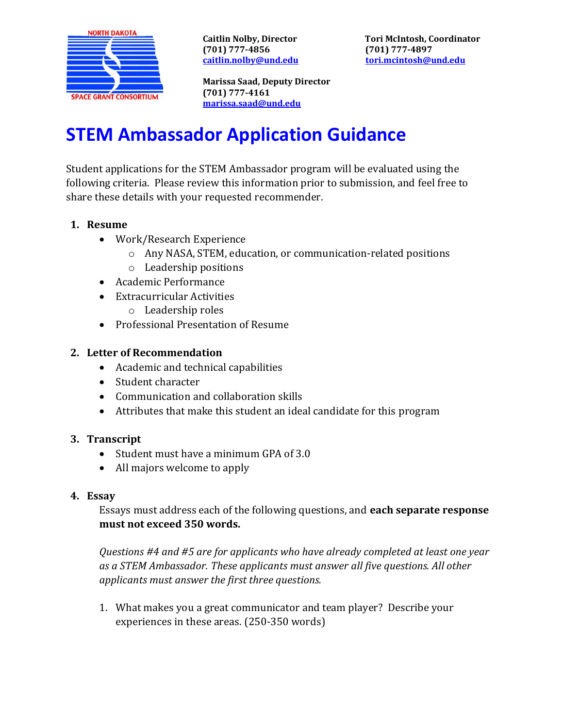

**(701) 777-4856 (701) 777-4897**

**Caitlin Nolby, Director Tori McIntosh, Coordinator [caitlin.nolby@und.edu](mailto:caitlin.nolby@und.edu) [tori.mcintosh@und.edu](mailto:tori.mcintosh@und.edu)**

**Marissa Saad, Deputy Director (701) 777-4161 [marissa.saad@und.edu](mailto:marissa.saad@und.edu)**

# **STEM Ambassador Application Guidance**

Student applications for the STEM Ambassador program will be evaluated using the following criteria. Please review this information prior to submission, and feel free to share these details with your requested recommender.

## **1. Resume**

- Work/Research Experience
	- o Any NASA, STEM, education, or communication-related positions
	- o Leadership positions
- Academic Performance
- Extracurricular Activities
	- o Leadership roles
- Professional Presentation of Resume

### **2. Letter of Recommendation**

- Academic and technical capabilities
- Student character
- Communication and collaboration skills
- Attributes that make this student an ideal candidate for this program

#### **3. Transcript**

- Student must have a minimum GPA of 3.0
- All majors welcome to apply

#### **4. Essay**

Essays must address each of the following questions, and **each separate response must not exceed 350 words.**

*Questions #4 and #5 are for applicants who have already completed at least one year as a STEM Ambassador. These applicants must answer all five questions. All other applicants must answer the first three questions.*

1. What makes you a great communicator and team player? Describe your experiences in these areas. (250-350 words)